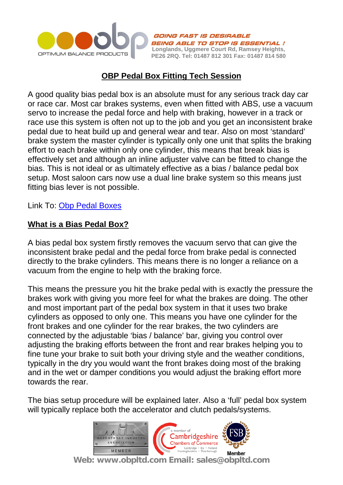

**FAST IS DESIRABLE** BEING ABLE TO STOP IS ESSENTIAL ! **Longlands, Uggmere Court Rd, Ramsey Heights, PE26 2RQ. Tel: 01487 812 301 Fax: 01487 814 580**

# **OBP Pedal Box Fitting Tech Session**

A good quality bias pedal box is an absolute must for any serious track day car or race car. Most car brakes systems, even when fitted with ABS, use a vacuum servo to increase the pedal force and help with braking, however in a track or race use this system is often not up to the job and you get an inconsistent brake pedal due to heat build up and general wear and tear. Also on most 'standard' brake system the master cylinder is typically only one unit that splits the braking effort to each brake within only one cylinder, this means that break bias is effectively set and although an inline adjuster valve can be fitted to change the bias. This is not ideal or as ultimately effective as a bias / balance pedal box setup. Most saloon cars now use a dual line brake system so this means just fitting bias lever is not possible.

Link To: [Obp Pedal Boxes](http://www.obpltd.com/obp-shop/race-car-pedal-boxes)

#### **What is a Bias Pedal Box?**

A bias pedal box system firstly removes the vacuum servo that can give the inconsistent brake pedal and the pedal force from brake pedal is connected directly to the brake cylinders. This means there is no longer a reliance on a vacuum from the engine to help with the braking force.

This means the pressure you hit the brake pedal with is exactly the pressure the brakes work with giving you more feel for what the brakes are doing. The other and most important part of the pedal box system in that it uses two brake cylinders as opposed to only one. This means you have one cylinder for the front brakes and one cylinder for the rear brakes, the two cylinders are connected by the adjustable 'bias / balance' bar, giving you control over adjusting the braking efforts between the front and rear brakes helping you to fine tune your brake to suit both your driving style and the weather conditions, typically in the dry you would want the front brakes doing most of the braking and in the wet or damper conditions you would adjust the braking effort more towards the rear.

The bias setup procedure will be explained later. Also a 'full' pedal box system will typically replace both the accelerator and clutch pedals/systems.

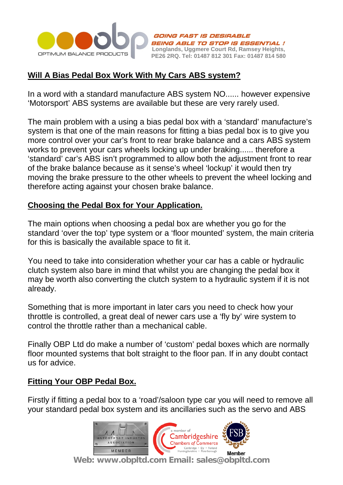

**FAST IS DESIRABLE** BEING ABLE TO STOP IS ESSENTIAL ! **Longlands, Uggmere Court Rd, Ramsey Heights, PE26 2RQ. Tel: 01487 812 301 Fax: 01487 814 580**

# **Will A Bias Pedal Box Work With My Cars ABS system?**

In a word with a standard manufacture ABS system NO...... however expensive 'Motorsport' ABS systems are available but these are very rarely used.

The main problem with a using a bias pedal box with a 'standard' manufacture's system is that one of the main reasons for fitting a bias pedal box is to give you more control over your car's front to rear brake balance and a cars ABS system works to prevent your cars wheels locking up under braking...... therefore a 'standard' car's ABS isn't programmed to allow both the adjustment front to rear of the brake balance because as it sense's wheel 'lockup' it would then try moving the brake pressure to the other wheels to prevent the wheel locking and therefore acting against your chosen brake balance.

#### **Choosing the Pedal Box for Your Application.**

The main options when choosing a pedal box are whether you go for the standard 'over the top' type system or a 'floor mounted' system, the main criteria for this is basically the available space to fit it.

You need to take into consideration whether your car has a cable or hydraulic clutch system also bare in mind that whilst you are changing the pedal box it may be worth also converting the clutch system to a hydraulic system if it is not already.

Something that is more important in later cars you need to check how your throttle is controlled, a great deal of newer cars use a 'fly by' wire system to control the throttle rather than a mechanical cable.

Finally OBP Ltd do make a number of 'custom' pedal boxes which are normally floor mounted systems that bolt straight to the floor pan. If in any doubt contact us for advice.

#### **Fitting Your OBP Pedal Box.**

Firstly if fitting a pedal box to a 'road'/saloon type car you will need to remove all your standard pedal box system and its ancillaries such as the servo and ABS

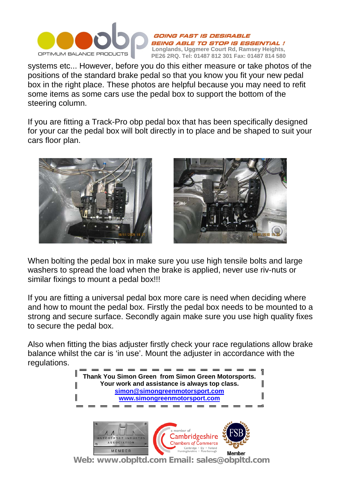

**ING FAST IS DESIRABLE** BEING ABLE TO STOP IS ESSENTIAL ! **Longlands, Uggmere Court Rd, Ramsey Heights, PE26 2RQ. Tel: 01487 812 301 Fax: 01487 814 580**

systems etc... However, before you do this either measure or take photos of the positions of the standard brake pedal so that you know you fit your new pedal box in the right place. These photos are helpful because you may need to refit some items as some cars use the pedal box to support the bottom of the steering column.

If you are fitting a Track-Pro obp pedal box that has been specifically designed for your car the pedal box will bolt directly in to place and be shaped to suit your cars floor plan.





When bolting the pedal box in make sure you use high tensile bolts and large washers to spread the load when the brake is applied, never use riv-nuts or similar fixings to mount a pedal box!!!

If you are fitting a universal pedal box more care is need when deciding where and how to mount the pedal box. Firstly the pedal box needs to be mounted to a strong and secure surface. Secondly again make sure you use high quality fixes to secure the pedal box.

Also when fitting the bias adjuster firstly check your race regulations allow brake balance whilst the car is 'in use'. Mount the adjuster in accordance with the regulations.

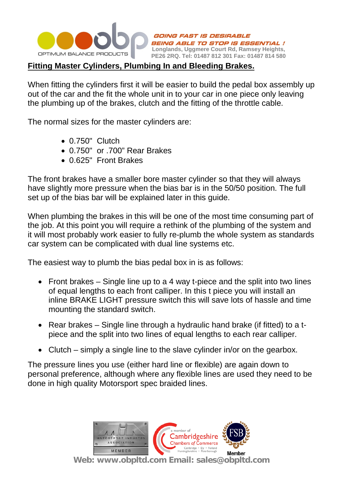

*AST IS DESIRABLE ABLE TO STOP IS ESSENTIAL !* **Longlands, Uggmere Court Rd, Ramsey Heights, PE26 2RQ. Tel: 01487 812 301 Fax: 01487 814 580**

## **Fitting Master Cylinders, Plumbing In and Bleeding Brakes.**

When fitting the cylinders first it will be easier to build the pedal box assembly up out of the car and the fit the whole unit in to your car in one piece only leaving the plumbing up of the brakes, clutch and the fitting of the throttle cable.

The normal sizes for the master cylinders are:

- 0.750" Clutch
- 0.750" or .700" Rear Brakes
- 0.625" Front Brakes

The front brakes have a smaller bore master cylinder so that they will always have slightly more pressure when the bias bar is in the 50/50 position. The full set up of the bias bar will be explained later in this guide.

When plumbing the brakes in this will be one of the most time consuming part of the job. At this point you will require a rethink of the plumbing of the system and it will most probably work easier to fully re-plumb the whole system as standards car system can be complicated with dual line systems etc.

The easiest way to plumb the bias pedal box in is as follows:

- Front brakes Single line up to a 4 way t-piece and the split into two lines of equal lengths to each front calliper. In this t piece you will install an inline BRAKE LIGHT pressure switch this will save lots of hassle and time mounting the standard switch.
- Rear brakes Single line through a hydraulic hand brake (if fitted) to a tpiece and the split into two lines of equal lengths to each rear calliper.
- Clutch simply a single line to the slave cylinder in/or on the gearbox.

The pressure lines you use (either hard line or flexible) are again down to personal preference, although where any flexible lines are used they need to be done in high quality Motorsport spec braided lines.

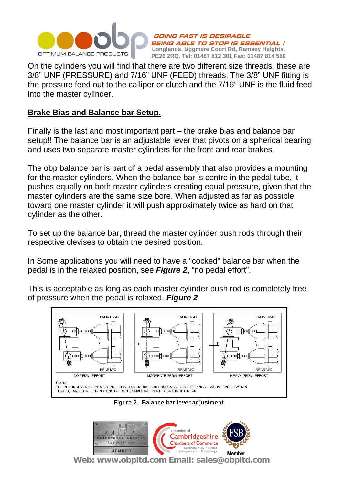

**JING FAST IS DESIRABLE** BEING ABLE TO STOP IS ESSENTIAL ! **Longlands, Uggmere Court Rd, Ramsey Heights, PE26 2RQ. Tel: 01487 812 301 Fax: 01487 814 580**

On the cylinders you will find that there are two different size threads, these are 3/8" UNF (PRESSURE) and 7/16" UNF (FEED) threads. The 3/8" UNF fitting is the pressure feed out to the calliper or clutch and the 7/16" UNF is the fluid feed into the master cylinder.

#### **Brake Bias and Balance bar Setup.**

Finally is the last and most important part – the brake bias and balance bar setup!! The balance bar is an adjustable lever that pivots on a spherical bearing and uses two separate master cylinders for the front and rear brakes.

The obp balance bar is part of a pedal assembly that also provides a mounting for the master cylinders. When the balance bar is centre in the pedal tube, it pushes equally on both master cylinders creating equal pressure, given that the master cylinders are the same size bore. When adjusted as far as possible toward one master cylinder it will push approximately twice as hard on that cylinder as the other.

To set up the balance bar, thread the master cylinder push rods through their respective clevises to obtain the desired position.

In Some applications you will need to have a "cocked" balance bar when the pedal is in the relaxed position, see *Figure 2*, "no pedal effort".

This is acceptable as long as each master cylinder push rod is completely free of pressure when the pedal is relaxed. *Figure 2*



Figure 2. Balance bar lever adjustment

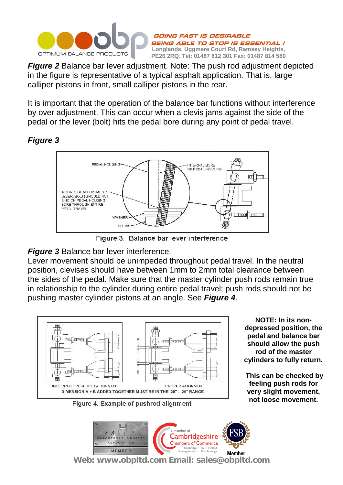

**PE26 2RQ. Tel: 01487 812 301 Fax: 01487 814 580** *Figure 2* Balance bar lever adjustment. Note: The push rod adjustment depicted in the figure is representative of a typical asphalt application. That is, large calliper pistons in front, small calliper pistons in the rear.

**Longlands, Uggmere Court Rd, Ramsey Heights,** 

BEING ABLE TO STOP IS ESSENTIAL !

GOING FAST IS DESIRABLE

It is important that the operation of the balance bar functions without interference by over adjustment. This can occur when a clevis jams against the side of the pedal or the lever (bolt) hits the pedal bore during any point of pedal travel.

### *Figure 3*



Figure 3. Balance bar lever interference

# *Figure 3* Balance bar lever interference.

Lever movement should be unimpeded throughout pedal travel. In the neutral position, clevises should have between 1mm to 2mm total clearance between the sides of the pedal. Make sure that the master cylinder push rods remain true in relationship to the cylinder during entire pedal travel; push rods should not be pushing master cylinder pistons at an angle. See *Figure 4*.



**NOTE: In its nondepressed position, the pedal and balance bar should allow the push rod of the master cylinders to fully return.**

**This can be checked by feeling push rods for very slight movement, not loose movement.**